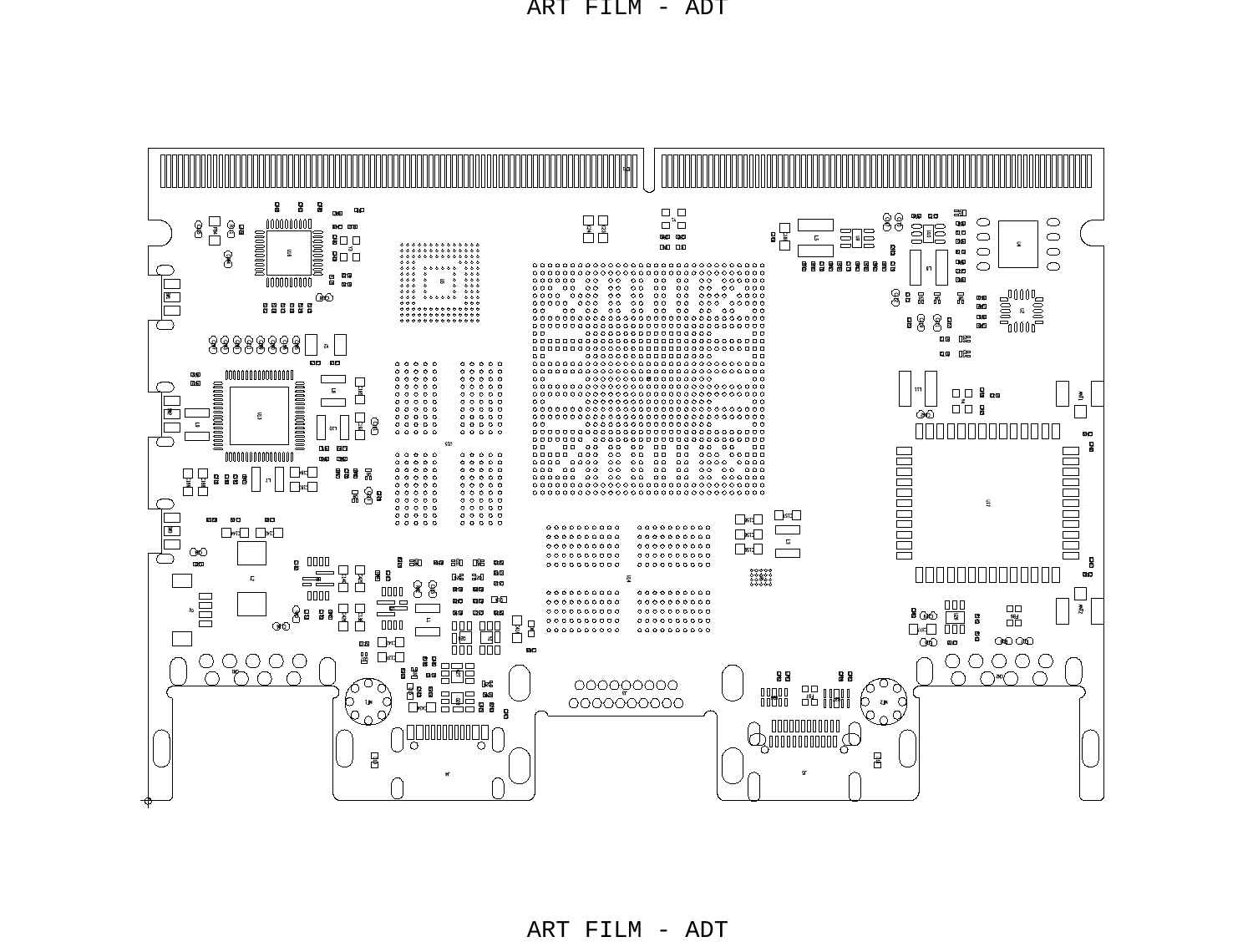